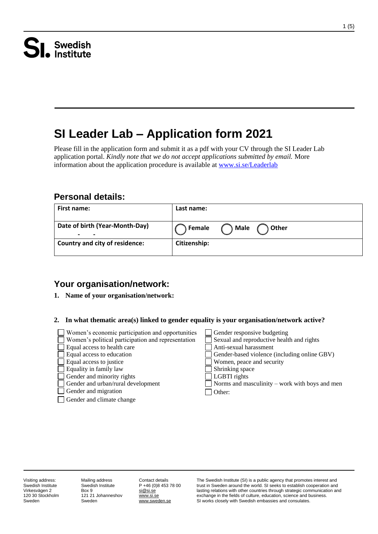# **SI Leader Lab – Application form 2021**

Please fill in the application form and submit it as a pdf with your CV through the SI Leader Lab application portal. *Kindly note that we do not accept applications submitted by email.* More information about the application procedure is available at [www.si.se/Leaderlab](http://www.si.se/Leaderlab) 

## **Personal details:**

| <b>First name:</b>                                              | Last name:                       |
|-----------------------------------------------------------------|----------------------------------|
| Date of birth (Year-Month-Day)<br>-<br>$\overline{\phantom{0}}$ | <b>Male</b><br>Female<br>) Other |
| <b>Country and city of residence:</b>                           | Citizenship:                     |

## **Your organisation/network:**

#### **1. Name of your organisation/network:**

#### **2. In what thematic area(s) linked to gender equality is your organisation/network active?**

| Women's economic participation and opportunities<br>$\Box$ Women's political participation and representation | Gender responsive budgeting<br>Sexual and reproductive health and rights  |
|---------------------------------------------------------------------------------------------------------------|---------------------------------------------------------------------------|
| Equal access to health care                                                                                   | Anti-sexual harassment                                                    |
| $\Box$ Equal access to education<br>$\Box$ Equal access to justice                                            | Gender-based violence (including online GBV)<br>Women, peace and security |
| $\Box$ Equality in family law                                                                                 | Shrinking space                                                           |
| $\Box$ Gender and minority rights                                                                             | LGBTI rights                                                              |
| Gender and urban/rural development                                                                            | $\Box$ Norms and masculinity – work with boys and men                     |
| Gender and migration                                                                                          | Other:                                                                    |
| Gender and climate change                                                                                     |                                                                           |
|                                                                                                               |                                                                           |

Visiting address: Swedish Institute Virkesvägen 2 120 30 Stockholm Sweden

Mailing address Swedish Institute Box 9 121 21 Johanneshov Sweden

Contact details P +46 (0)8 453 78 00 si@si.se [www.si.se](http://www.si.se/)  [www.sweden.se](http://www.sweden.se/) 

The Swedish Institute (SI) is a public agency that promotes interest and trust in Sweden around the world. SI seeks to establish cooperation and lasting relations with other countries through strategic communication and exchange in the fields of culture, education, science and business. SI works closely with Swedish embassies and consulates.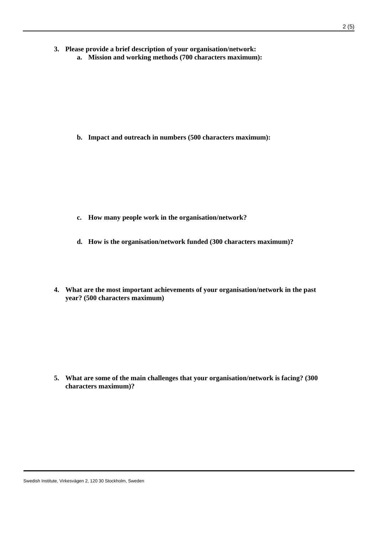- **3. Please provide a brief description of your organisation/network:**
	- **a. Mission and working methods (700 characters maximum):**

**b. Impact and outreach in numbers (500 characters maximum):**

- **c. How many people work in the organisation/network?**
- **d. How is the organisation/network funded (300 characters maximum)?**
- **4. What are the most important achievements of your organisation/network in the past year? (500 characters maximum)**

**5. What are some of the main challenges that your organisation/network is facing? (300 characters maximum)?**

Swedish Institute, Virkesvägen 2, 120 30 Stockholm, Sweden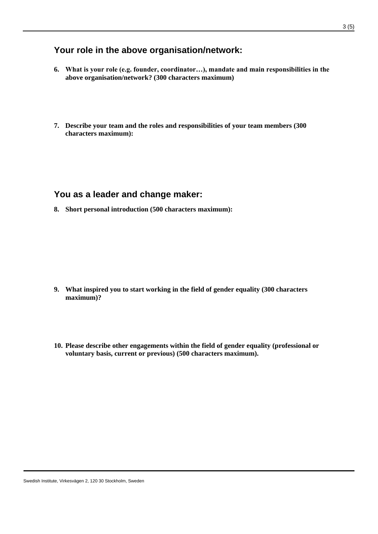## **Your role in the above organisation/network:**

- **6. What is your role (e.g. founder, coordinator…), mandate and main responsibilities in the above organisation/network? (300 characters maximum)**
- **7. Describe your team and the roles and responsibilities of your team members (300 characters maximum):**

### **You as a leader and change maker:**

**8. Short personal introduction (500 characters maximum):**

- **9. What inspired you to start working in the field of gender equality (300 characters maximum)?**
- **10. Please describe other engagements within the field of gender equality (professional or voluntary basis, current or previous) (500 characters maximum).**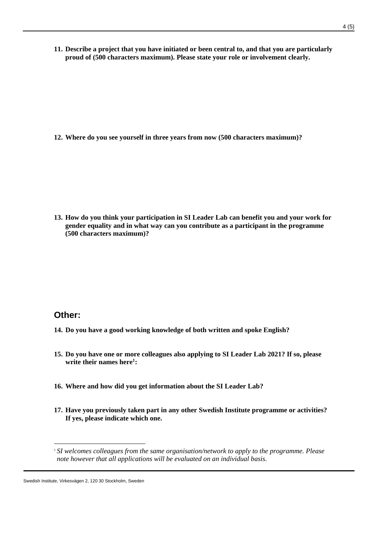**11. Describe a project that you have initiated or been central to, and that you are particularly proud of (500 characters maximum). Please state your role or involvement clearly.**

**12. Where do you see yourself in three years from now (500 characters maximum)?**

**13. How do you think your participation in SI Leader Lab can benefit you and your work for gender equality and in what way can you contribute as a participant in the programme (500 characters maximum)?**

## **Other:**

- **14. Do you have a good working knowledge of both written and spoke English?**
- **15. Do you have one or more colleagues also applying to SI Leader Lab 2021? If so, please write their names here<sup>1</sup> :**
- **16. Where and how did you get information about the SI Leader Lab?**
- **17. Have you previously taken part in any other Swedish Institute programme or activities? If yes, please indicate which one.**

<sup>1</sup> *SI welcomes colleagues from the same organisation/network to apply to the programme. Please note however that all applications will be evaluated on an individual basis.*